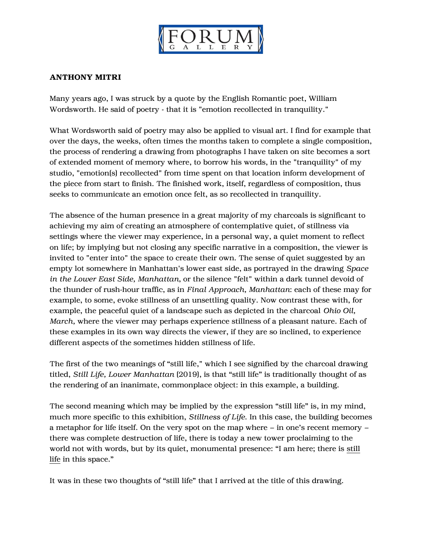

## ANTHONY MITRI

Many years ago, I was struck by a quote by the English Romantic poet, William Wordsworth. He said of poetry - that it is "emotion recollected in tranquility."

What Wordsworth said of poetry may also be applied to visual art. I find for example that over the days, the weeks, often times the months taken to complete a single composition, the process of rendering a drawing from photographs I have taken on site becomes a sort of extended moment of memory where, to borrow his words, in the "tranquility" of my studio, "emotion(s) recollected" from time spent on that location inform development of the piece from start to finish. The finished work, itself, regardless of composition, thus seeks to communicate an emotion once felt, as so recollected in tranquility.

The absence of the human presence in a great majority of my charcoals is significant to achieving my aim of creating an atmosphere of contemplative quiet, of stillness via settings where the viewer may experience, in a personal way, a quiet moment to reflect on life; by implying but not closing any specific narrative in a composition, the viewer is invited to "enter into" the space to create their own. The sense of quiet suggested by an empty lot somewhere in Manhattan's lower east side, as portrayed in the drawing *Space in the Lower East Side, Manhattan*, or the silence "felt" within a dark tunnel devoid of the thunder of rush-hour traffic, as in *Final Approach, Manhattan*: each of these may for example, to some, evoke stillness of an unsettling quality. Now contrast these with, for example, the peaceful quiet of a landscape such as depicted in the charcoal *Ohio Oil, March,* where the viewer may perhaps experience stillness of a pleasant nature. Each of these examples in its own way directs the viewer, if they are so inclined, to experience different aspects of the sometimes hidden stillness of life.

The first of the two meanings of "still life," which I see signified by the charcoal drawing titled, *Still Life, Lower Manhattan* (2019), is that "still life" is traditionally thought of as the rendering of an inanimate, commonplace object: in this example, a building.

The second meaning which may be implied by the expression "still life" is, in my mind, much more specific to this exhibition, *Stillness of Life*. In this case, the building becomes a metaphor for life itself. On the very spot on the map where – in one's recent memory – there was complete destruction of life, there is today a new tower proclaiming to the world not with words, but by its quiet, monumental presence: "I am here; there is still life in this space."

It was in these two thoughts of "still life" that I arrived at the title of this drawing.